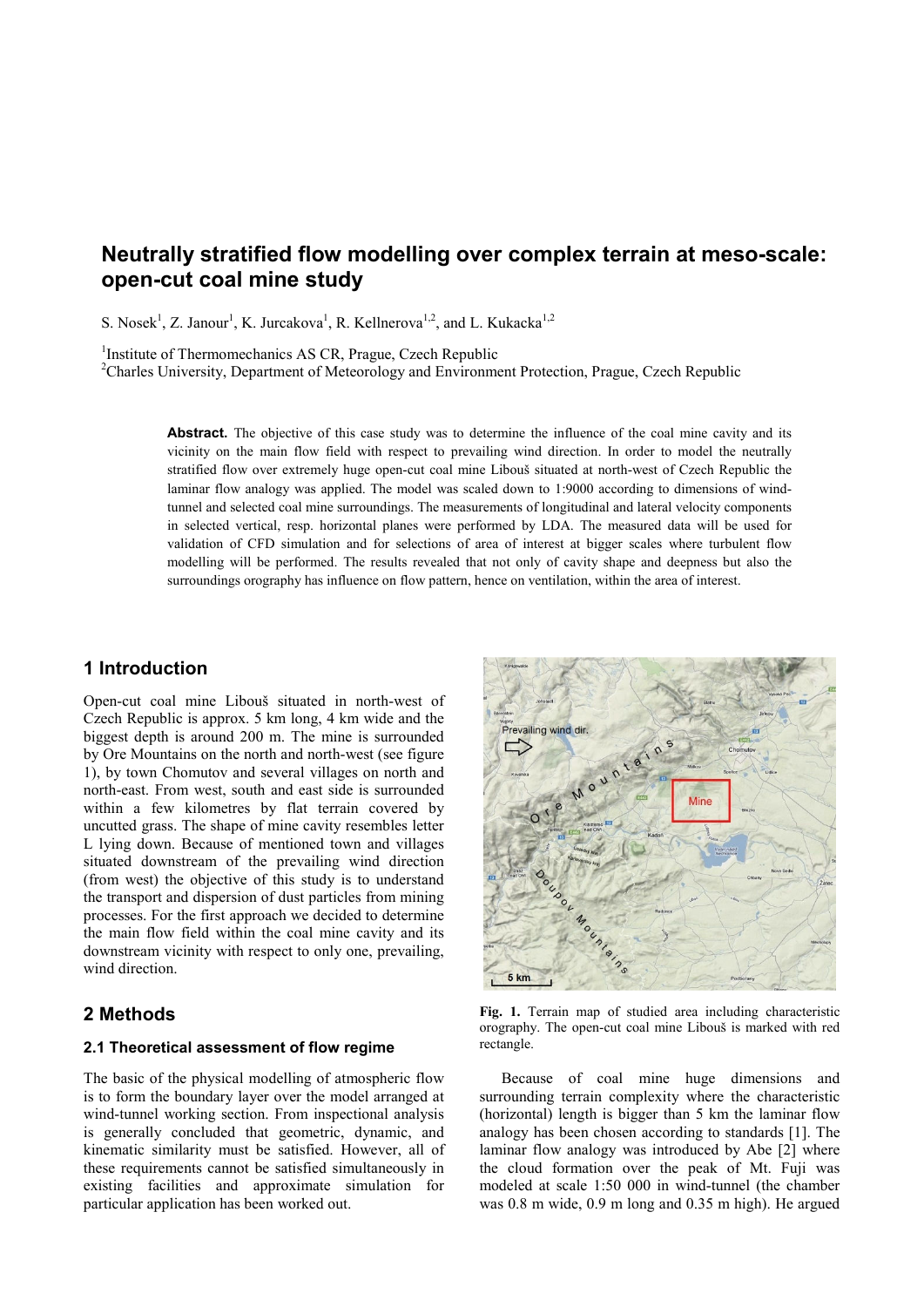# **Neutrally stratified flow modelling over complex terrain at meso-scale: open-cut coal mine study**

S. Nosek<sup>1</sup>, Z. Janour<sup>1</sup>, K. Jurcakova<sup>1</sup>, R. Kellnerova<sup>1,2</sup>, and L. Kukacka<sup>1,2</sup>

<sup>1</sup>Institute of Thermomechanics AS CR, Prague, Czech Republic

<sup>2</sup>Charles University, Department of Meteorology and Environment Protection, Prague, Czech Republic

Abstract. The objective of this case study was to determine the influence of the coal mine cavity and its vicinity on the main flow field with respect to prevailing wind direction. In order to model the neutrally stratified flow over extremely huge open-cut coal mine Libouš situated at north-west of Czech Republic the laminar flow analogy was applied. The model was scaled down to 1:9000 according to dimensions of windtunnel and selected coal mine surroundings. The measurements of longitudinal and lateral velocity components in selected vertical, resp. horizontal planes were performed by LDA. The measured data will be used for validation of CFD simulation and for selections of area of interest at bigger scales where turbulent flow modelling will be performed. The results revealed that not only of cavity shape and deepness but also the surroundings orography has influence on flow pattern, hence on ventilation, within the area of interest.

# **1 Introduction**

Open-cut coal mine Libouš situated in north-west of Czech Republic is approx. 5 km long, 4 km wide and the biggest depth is around 200 m. The mine is surrounded by Ore Mountains on the north and north-west (see figure 1), by town Chomutov and several villages on north and north-east. From west, south and east side is surrounded within a few kilometres by flat terrain covered by uncutted grass. The shape of mine cavity resembles letter L lying down. Because of mentioned town and villages situated downstream of the prevailing wind direction (from west) the objective of this study is to understand the transport and dispersion of dust particles from mining processes. For the first approach we decided to determine the main flow field within the coal mine cavity and its downstream vicinity with respect to only one, prevailing, wind direction

# **2 Methods**

### **2.1 Theoretical assessment of flow regime**

The basic of the physical modelling of atmospheric flow is to form the boundary layer over the model arranged at wind-tunnel working section. From inspectional analysis is generally concluded that geometric, dynamic, and kinematic similarity must be satisfied. However, all of these requirements cannot be satisfied simultaneously in existing facilities and approximate simulation for particular application has been worked out.



**Fig. 1.** Terrain map of studied area including characteristic orography. The open-cut coal mine Libouš is marked with red rectangle.

Because of coal mine huge dimensions and surrounding terrain complexity where the characteristic (horizontal) length is bigger than 5 km the laminar flow analogy has been chosen according to standards [1]. The laminar flow analogy was introduced by Abe [2] where the cloud formation over the peak of Mt. Fuji was modeled at scale 1:50 000 in wind-tunnel (the chamber was 0.8 m wide, 0.9 m long and 0.35 m high). He argued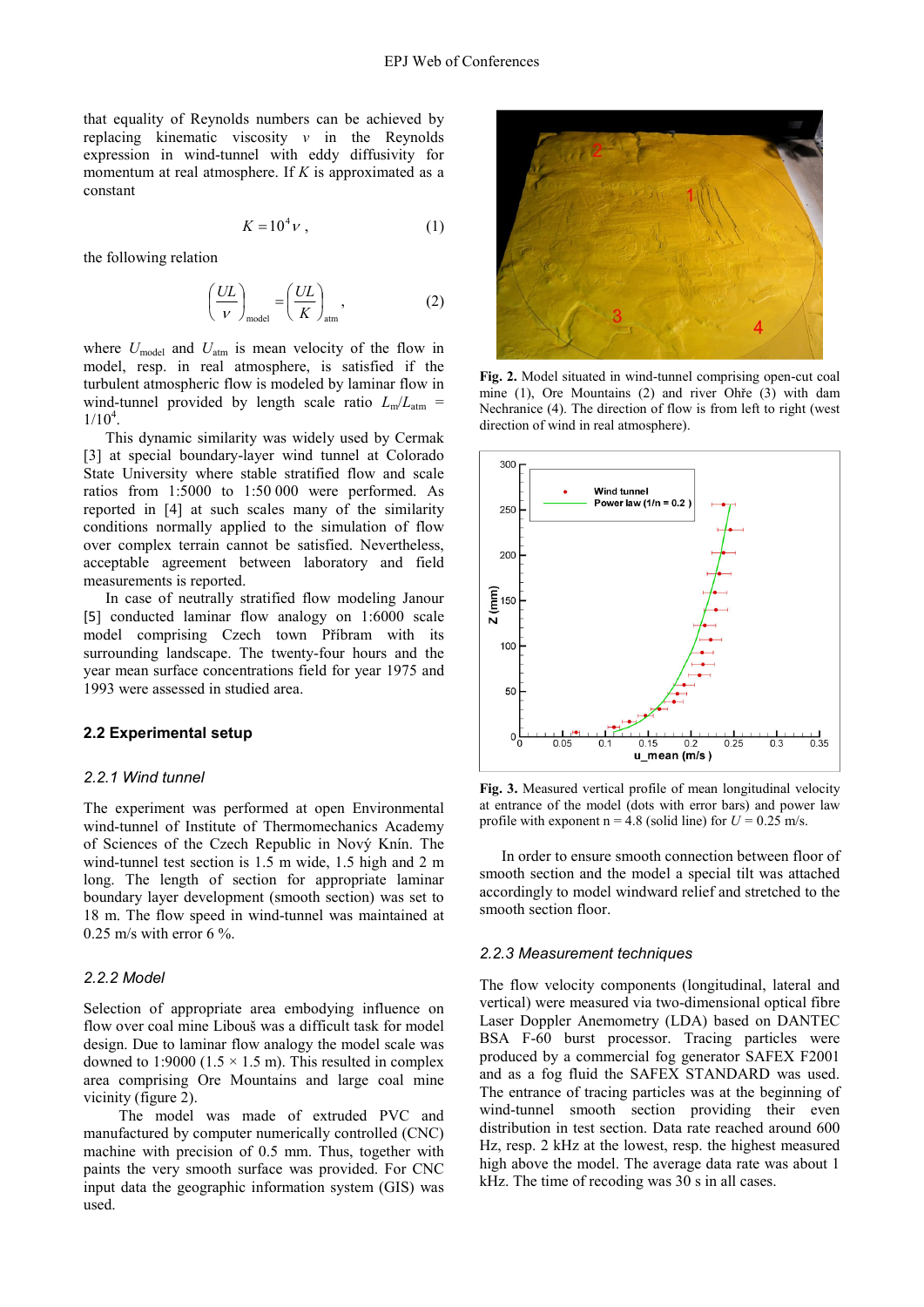that equality of Reynolds numbers can be achieved by replacing kinematic viscosity *ν* in the Reynolds expression in wind-tunnel with eddy diffusivity for momentum at real atmosphere. If *K* is approximated as a constant

$$
K = 10^4 \nu , \qquad (1)
$$

the following relation

$$
\left(\frac{UL}{V}\right)_{\text{model}} = \left(\frac{UL}{K}\right)_{\text{atm}},\tag{2}
$$

where  $U_{\text{model}}$  and  $U_{\text{atm}}$  is mean velocity of the flow in model, resp. in real atmosphere, is satisfied if the turbulent atmospheric flow is modeled by laminar flow in wind-tunnel provided by length scale ratio  $L_m/L_{atm}$  =  $1/10^4$ .

This dynamic similarity was widely used by Cermak [3] at special boundary-layer wind tunnel at Colorado State University where stable stratified flow and scale ratios from 1:5000 to 1:50 000 were performed. As reported in [4] at such scales many of the similarity conditions normally applied to the simulation of flow over complex terrain cannot be satisfied. Nevertheless, acceptable agreement between laboratory and field measurements is reported.

In case of neutrally stratified flow modeling Janour [5] conducted laminar flow analogy on 1:6000 scale model comprising Czech town Příbram with its surrounding landscape. The twenty-four hours and the year mean surface concentrations field for year 1975 and 1993 were assessed in studied area.

### **2.2 Experimental setup**

#### *2.2.1 Wind tunnel*

The experiment was performed at open Environmental wind-tunnel of Institute of Thermomechanics Academy of Sciences of the Czech Republic in Nový Knín. The wind-tunnel test section is 1.5 m wide, 1.5 high and 2 m long. The length of section for appropriate laminar boundary layer development (smooth section) was set to 18 m. The flow speed in wind-tunnel was maintained at 0.25 m/s with error  $6\%$ 

### *2.2.2 Model*

Selection of appropriate area embodying influence on flow over coal mine Libouš was a difficult task for model design. Due to laminar flow analogy the model scale was downed to 1:9000 (1.5  $\times$  1.5 m). This resulted in complex area comprising Ore Mountains and large coal mine vicinity (figure 2).

The model was made of extruded PVC and manufactured by computer numerically controlled (CNC) machine with precision of 0.5 mm. Thus, together with paints the very smooth surface was provided. For CNC input data the geographic information system (GIS) was used.



**Fig. 2.** Model situated in wind-tunnel comprising open-cut coal mine (1), Ore Mountains (2) and river Ohře (3) with dam Nechranice (4). The direction of flow is from left to right (west direction of wind in real atmosphere).



**Fig. 3.** Measured vertical profile of mean longitudinal velocity at entrance of the model (dots with error bars) and power law profile with exponent  $n = 4.8$  (solid line) for  $U = 0.25$  m/s.

In order to ensure smooth connection between floor of smooth section and the model a special tilt was attached accordingly to model windward relief and stretched to the smooth section floor.

#### *2.2.3 Measurement techniques*

The flow velocity components (longitudinal, lateral and vertical) were measured via two-dimensional optical fibre Laser Doppler Anemometry (LDA) based on DANTEC BSA F-60 burst processor. Tracing particles were produced by a commercial fog generator SAFEX F2001 and as a fog fluid the SAFEX STANDARD was used. The entrance of tracing particles was at the beginning of wind-tunnel smooth section providing their even distribution in test section. Data rate reached around 600 Hz, resp. 2 kHz at the lowest, resp. the highest measured high above the model. The average data rate was about 1 kHz. The time of recoding was 30 s in all cases.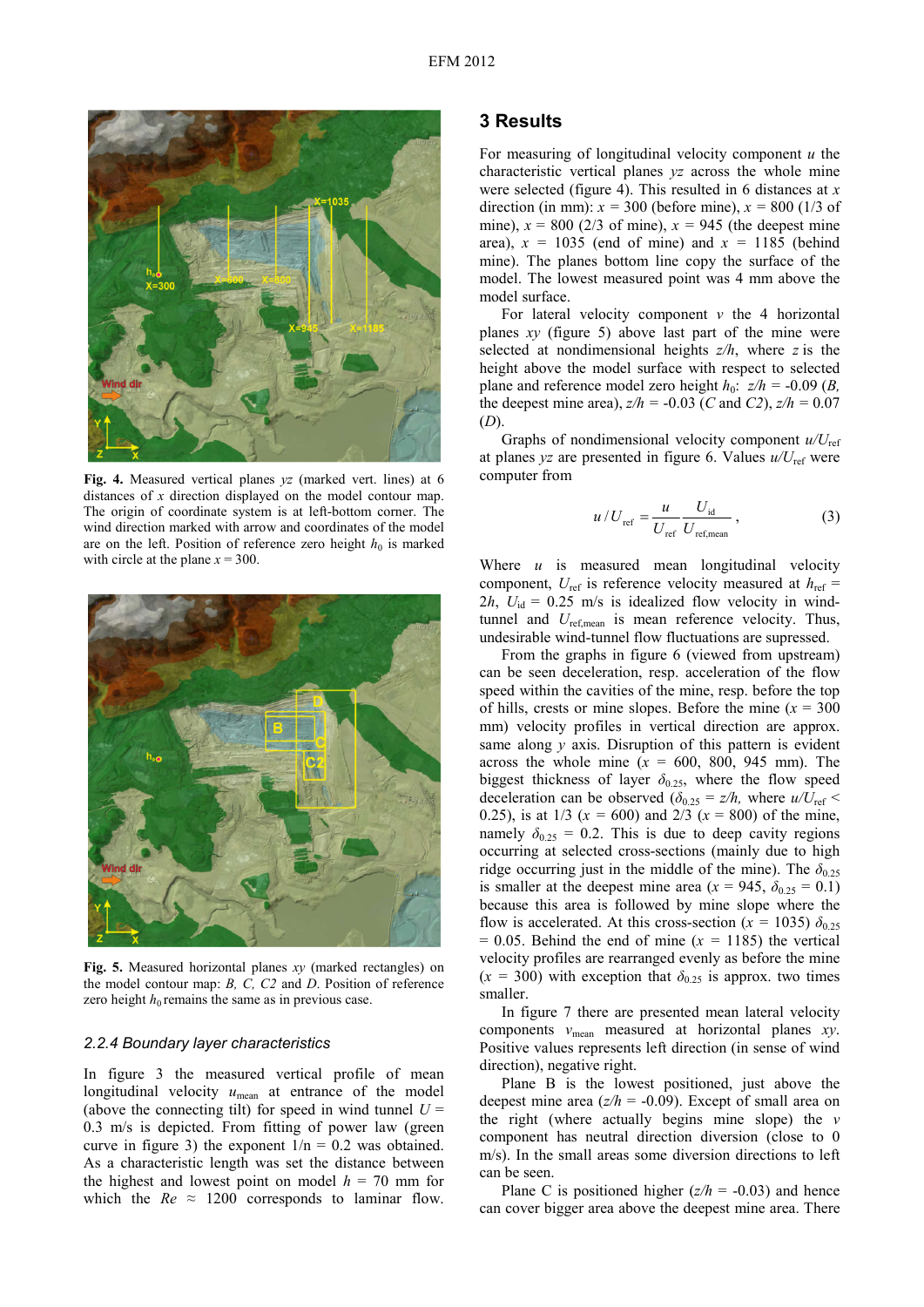

**Fig. 4.** Measured vertical planes *yz* (marked vert. lines) at 6 distances of *x* direction displayed on the model contour map. The origin of coordinate system is at left-bottom corner. The wind direction marked with arrow and coordinates of the model are on the left. Position of reference zero height  $h_0$  is marked with circle at the plane  $x = 300$ .



**Fig. 5.** Measured horizontal planes *xy* (marked rectangles) on the model contour map: *B, C, C2* and *D*. Position of reference zero height  $h_0$  remains the same as in previous case.

#### *2.2.4 Boundary layer characteristics*

In figure 3 the measured vertical profile of mean longitudinal velocity  $u_{\text{mean}}$  at entrance of the model (above the connecting tilt) for speed in wind tunnel  $U =$ 0.3 m/s is depicted. From fitting of power law (green curve in figure 3) the exponent  $1/n = 0.2$  was obtained. As a characteristic length was set the distance between the highest and lowest point on model  $h = 70$  mm for which the  $Re \approx 1200$  corresponds to laminar flow.

### **3 Results**

For measuring of longitudinal velocity component *u* the characteristic vertical planes *yz* across the whole mine were selected (figure 4). This resulted in 6 distances at *x* direction (in mm):  $x = 300$  (before mine),  $x = 800$  (1/3 of mine),  $x = 800$  (2/3 of mine),  $x = 945$  (the deepest mine area),  $x = 1035$  (end of mine) and  $x = 1185$  (behind mine). The planes bottom line copy the surface of the model. The lowest measured point was 4 mm above the model surface.

For lateral velocity component  $v$  the 4 horizontal planes *xy* (figure 5) above last part of the mine were selected at nondimensional heights *z/h*, where *z* is the height above the model surface with respect to selected plane and reference model zero height  $h_0$ :  $z/h = -0.09$  (*B*, the deepest mine area),  $z/h = -0.03$  (*C* and *C2*),  $z/h = 0.07$ (*D*).

Graphs of nondimensional velocity component *u/U*ref at planes  $yz$  are presented in figure 6. Values  $u/U_{\text{ref}}$  were computer from

$$
u/U_{\text{ref}} = \frac{u}{U_{\text{ref}}} \frac{U_{\text{id}}}{U_{\text{ref,mean}}},\tag{3}
$$

Where *u* is measured mean longitudinal velocity component,  $U_{ref}$  is reference velocity measured at  $h_{ref}$  =  $2h$ ,  $U_{id}$  = 0.25 m/s is idealized flow velocity in windtunnel and *U*ref,mean is mean reference velocity. Thus, undesirable wind-tunnel flow fluctuations are supressed.

From the graphs in figure 6 (viewed from upstream) can be seen deceleration, resp. acceleration of the flow speed within the cavities of the mine, resp. before the top of hills, crests or mine slopes. Before the mine  $(x = 300$ mm) velocity profiles in vertical direction are approx. same along *y* axis. Disruption of this pattern is evident across the whole mine  $(x = 600, 800, 945, \text{mm})$ . The biggest thickness of layer  $\delta_{0.25}$ , where the flow speed deceleration can be observed ( $\delta_{0.25} = z/h$ , where  $u/U_{\text{ref}} <$ 0.25), is at 1/3 ( $x = 600$ ) and 2/3 ( $x = 800$ ) of the mine, namely  $\delta_{0.25} = 0.2$ . This is due to deep cavity regions occurring at selected cross-sections (mainly due to high ridge occurring just in the middle of the mine). The  $\delta_{0.25}$ is smaller at the deepest mine area ( $x = 945$ ,  $\delta_{0.25} = 0.1$ ) because this area is followed by mine slope where the flow is accelerated. At this cross-section ( $x = 1035$ )  $\delta_{0.25}$  $= 0.05$ . Behind the end of mine ( $x = 1185$ ) the vertical velocity profiles are rearranged evenly as before the mine  $(x = 300)$  with exception that  $\delta_{0.25}$  is approx. two times smaller.

In figure 7 there are presented mean lateral velocity components *v*mean measured at horizontal planes *xy*. Positive values represents left direction (in sense of wind direction), negative right.

Plane B is the lowest positioned, just above the deepest mine area  $(z/h = -0.09)$ . Except of small area on the right (where actually begins mine slope) the *v* component has neutral direction diversion (close to 0 m/s). In the small areas some diversion directions to left can be seen.

Plane C is positioned higher  $(z/h = -0.03)$  and hence can cover bigger area above the deepest mine area. There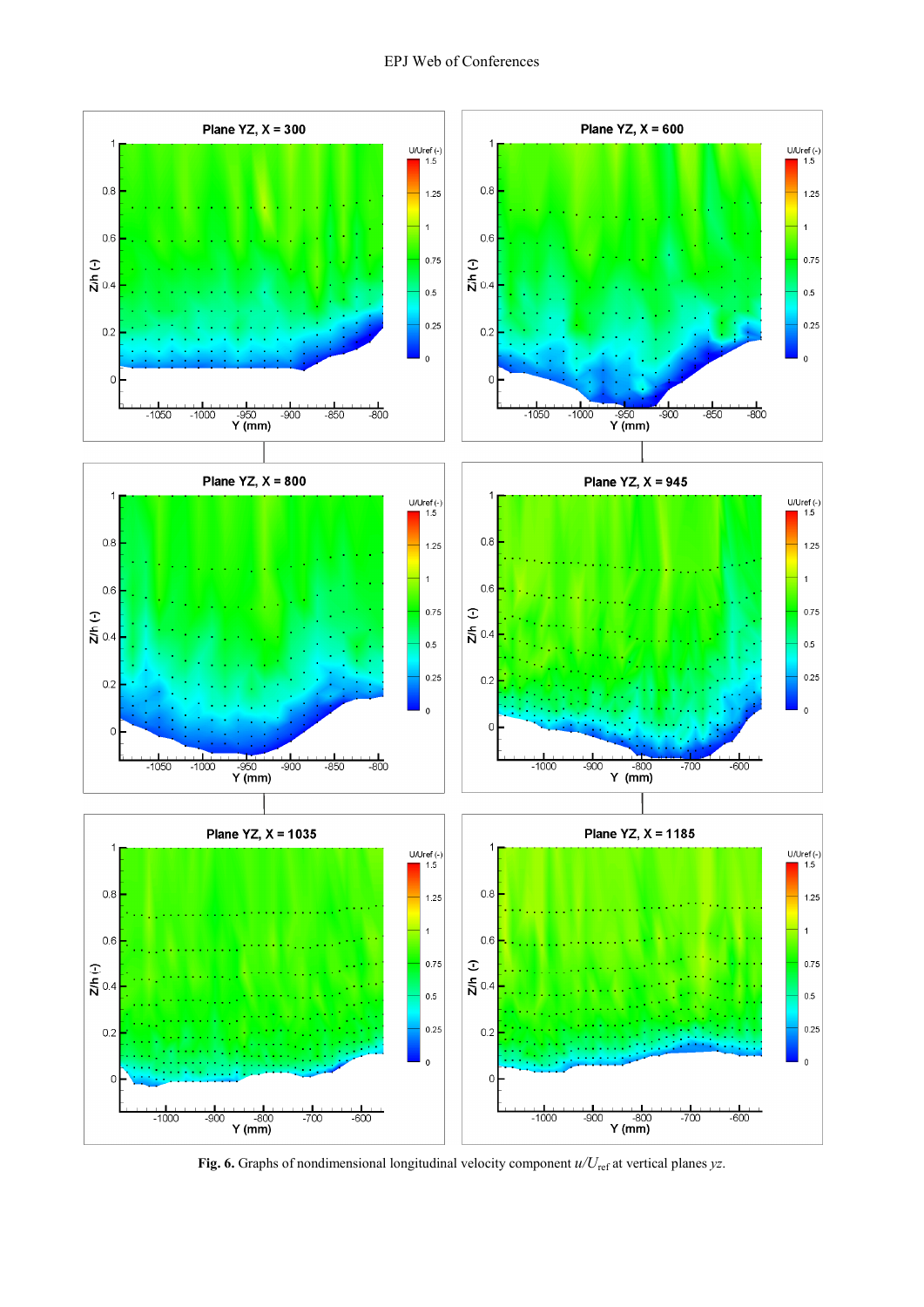

**Fig. 6.** Graphs of nondimensional longitudinal velocity component  $u/U_{ref}$  at vertical planes *yz*.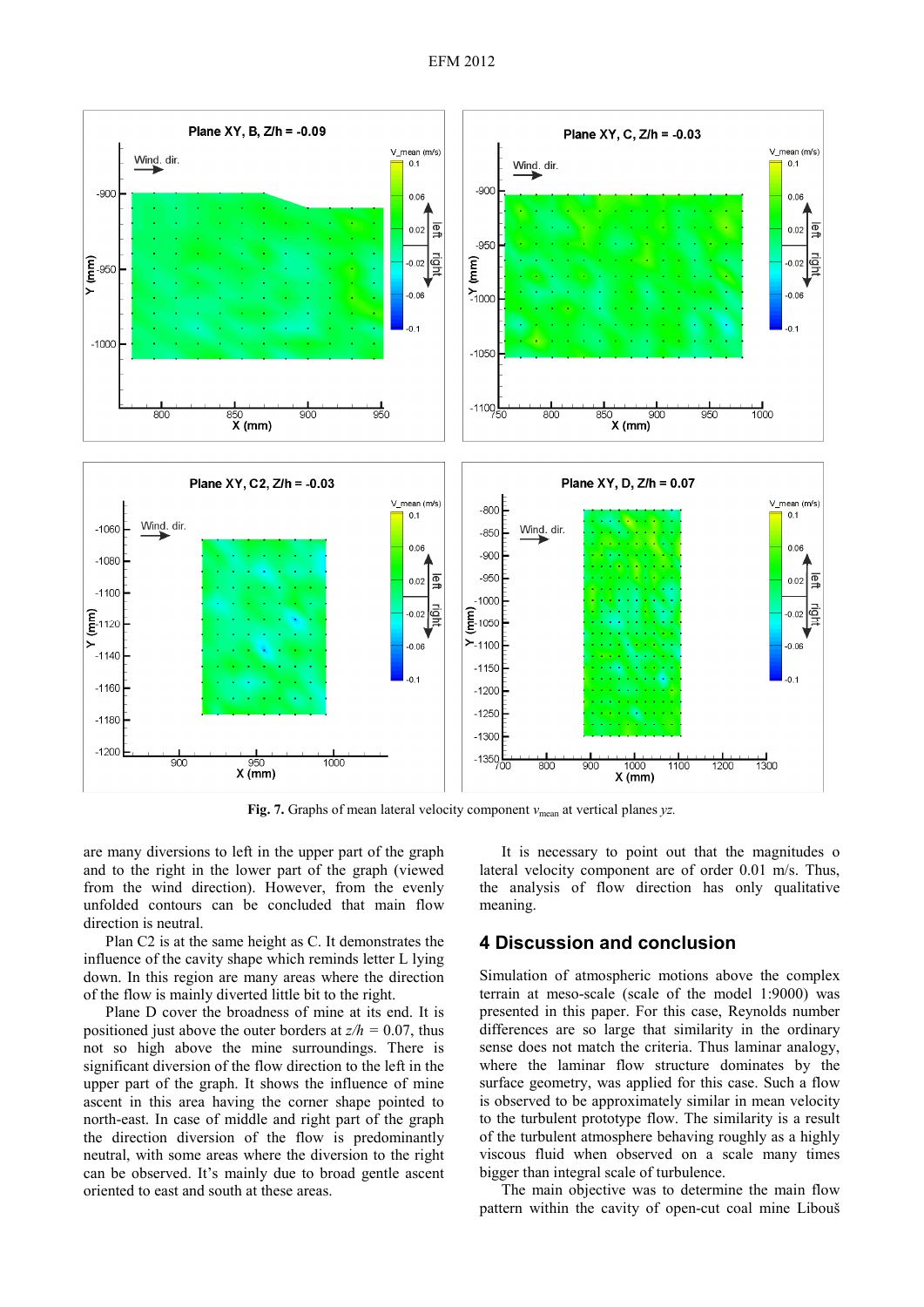

Fig. 7. Graphs of mean lateral velocity component  $v_{\text{mean}}$  at vertical planes *yz*.

are many diversions to left in the upper part of the graph and to the right in the lower part of the graph (viewed from the wind direction). However, from the evenly unfolded contours can be concluded that main flow direction is neutral.

Plan C2 is at the same height as C. It demonstrates the influence of the cavity shape which reminds letter L lying down. In this region are many areas where the direction of the flow is mainly diverted little bit to the right.

Plane D cover the broadness of mine at its end. It is positioned just above the outer borders at *z/h =* 0.07, thus not so high above the mine surroundings. There is significant diversion of the flow direction to the left in the upper part of the graph. It shows the influence of mine ascent in this area having the corner shape pointed to north-east. In case of middle and right part of the graph the direction diversion of the flow is predominantly neutral, with some areas where the diversion to the right can be observed. It's mainly due to broad gentle ascent oriented to east and south at these areas.

It is necessary to point out that the magnitudes o lateral velocity component are of order 0.01 m/s. Thus, the analysis of flow direction has only qualitative meaning.

# **4 Discussion and conclusion**

Simulation of atmospheric motions above the complex terrain at meso-scale (scale of the model 1:9000) was presented in this paper. For this case, Reynolds number differences are so large that similarity in the ordinary sense does not match the criteria. Thus laminar analogy, where the laminar flow structure dominates by the surface geometry, was applied for this case. Such a flow is observed to be approximately similar in mean velocity to the turbulent prototype flow. The similarity is a result of the turbulent atmosphere behaving roughly as a highly viscous fluid when observed on a scale many times bigger than integral scale of turbulence.

The main objective was to determine the main flow pattern within the cavity of open-cut coal mine Libouš